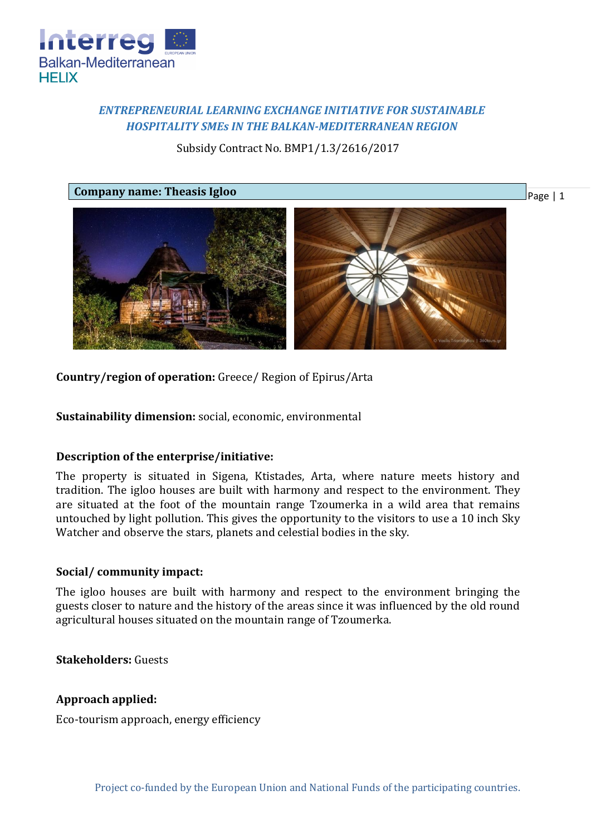

# *ENTREPRENEURIAL LEARNING EXCHANGE INITIATIVE FOR SUSTAINABLE HOSPITALITY SMEs IN THE BALKAN-MEDITERRANEAN REGION*

Subsidy Contract No. BMP1/1.3/2616/2017



**Country/region of operation:** Greece/ Region of Epirus/Arta

**Sustainability dimension:** social, economic, environmental

# **Description of the enterprise/initiative:**

The property is situated in Sigena, Ktistades, Arta, where nature meets history and tradition. The igloo houses are built with harmony and respect to the environment. They are situated at the foot of the mountain range Tzoumerka in a wild area that remains untouched by light pollution. This gives the opportunity to the visitors to use a 10 inch Sky Watcher and observe the stars, planets and celestial bodies in the sky.

# **Social/ community impact:**

The igloo houses are built with harmony and respect to the environment bringing the guests closer to nature and the history of the areas since it was influenced by the old round agricultural houses situated on the mountain range of Tzoumerka.

**Stakeholders:** Guests

# **Approach applied:**

Eco-tourism approach, energy efficiency